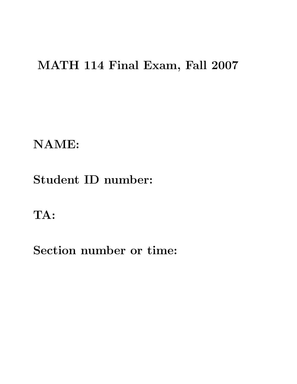## MATH 114 Final Exam, Fall 2007

NAME:

## Student ID number:

TA:

Section number or time: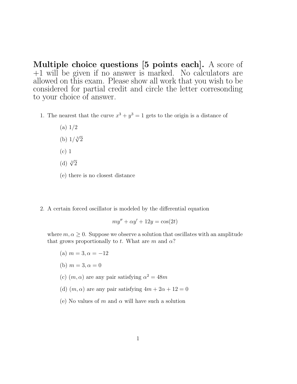Multiple choice questions [5 points each]. A score of +1 will be given if no answer is marked. No calculators are allowed on this exam. Please show all work that you wish to be considered for partial credit and circle the letter corresonding to your choice of answer.

- 1. The nearest that the curve  $x^3 + y^3 = 1$  gets to the origin is a distance of
	- (a) 1/2 (b)  $1/\sqrt[3]{2}$
	-
	- (c) 1
	- (d)  $\sqrt[3]{2}$
	- (e) there is no closest distance
- 2. A certain forced oscillator is modeled by the differential equation

 $m u'' + \alpha u' + 12y = \cos(2t)$ 

where  $m, \alpha \geq 0$ . Suppose we observe a solution that oscillates with an amplitude that grows proportionally to t. What are m and  $\alpha$ ?

- (a)  $m = 3, \alpha = -12$
- (b)  $m = 3, \alpha = 0$
- (c)  $(m, \alpha)$  are any pair satisfying  $\alpha^2 = 48m$
- (d)  $(m, \alpha)$  are any pair satisfying  $4m + 2\alpha + 12 = 0$
- (e) No values of m and  $\alpha$  will have such a solution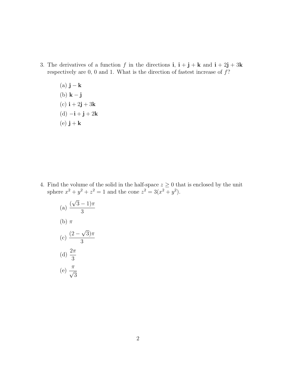- 3. The derivatives of a function f in the directions **i**,  $\mathbf{i} + \mathbf{j} + \mathbf{k}$  and  $\mathbf{i} + 2\mathbf{j} + 3\mathbf{k}$ respectively are  $0, 0$  and 1. What is the direction of fastest increase of  $f$ ?
	- (a)  $\mathbf{j} \mathbf{k}$ (b)  $\mathbf{k} - \mathbf{j}$ (c)  $i + 2j + 3k$ (d)  $-{\bf i} + {\bf j} + 2{\bf k}$ (e)  $\mathbf{j} + \mathbf{k}$

4. Find the volume of the solid in the half-space  $z \geq 0$  that is enclosed by the unit sphere  $x^2 + y^2 + z^2 = 1$  and the cone  $z^2 = 3(x^2 + y^2)$ .

(a) 
$$
\frac{(\sqrt{3} - 1)\pi}{3}
$$
  
\n(b)  $\pi$   
\n(c) 
$$
\frac{(2 - \sqrt{3})\pi}{3}
$$
  
\n(d) 
$$
\frac{2\pi}{3}
$$
  
\n(e) 
$$
\frac{\pi}{\sqrt{3}}
$$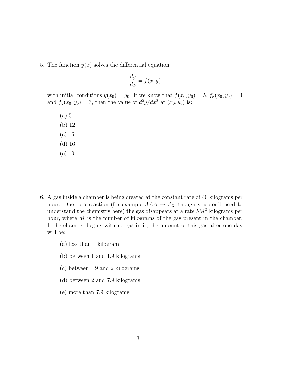5. The function  $y(x)$  solves the differential equation

$$
\frac{dy}{dx} = f(x, y)
$$

with initial conditions  $y(x_0) = y_0$ . If we know that  $f(x_0, y_0) = 5$ ,  $f_x(x_0, y_0) = 4$ and  $f_y(x_0, y_0) = 3$ , then the value of  $d^2y/dx^2$  at  $(x_0, y_0)$  is:

- (a) 5 (b) 12
- (c) 15
- (d) 16
- (e) 19
- 6. A gas inside a chamber is being created at the constant rate of 40 kilograms per hour. Due to a reaction (for example  $AAA \rightarrow A_3$ , though you don't need to understand the chemistry here) the gas disappears at a rate  $5M<sup>3</sup>$  kilograms per hour, where M is the number of kilograms of the gas present in the chamber. If the chamber begins with no gas in it, the amount of this gas after one day will be:
	- (a) less than 1 kilogram
	- (b) between 1 and 1.9 kilograms
	- (c) between 1.9 and 2 kilograms
	- (d) between 2 and 7.9 kilograms
	- (e) more than 7.9 kilograms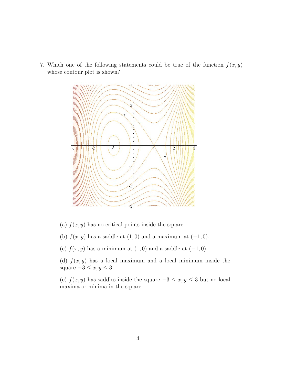7. Which one of the following statements could be true of the function  $f(x, y)$ whose contour plot is shown?



(a)  $f(x, y)$  has no critical points inside the square.

(b)  $f(x, y)$  has a saddle at  $(1, 0)$  and a maximum at  $(-1, 0)$ .

(c)  $f(x, y)$  has a minimum at  $(1, 0)$  and a saddle at  $(-1, 0)$ .

(d)  $f(x, y)$  has a local maximum and a local minimum inside the square  $-3 \le x, y \le 3$ .

(e)  $f(x, y)$  has saddles inside the square  $-3 \le x, y \le 3$  but no local maxima or minima in the square.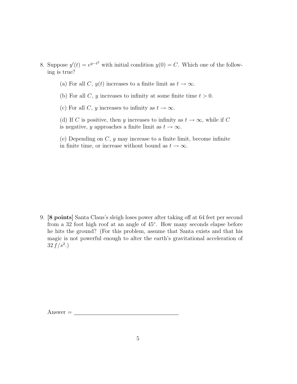- 8. Suppose  $y'(t) = e^{y-t^2}$  with initial condition  $y(0) = C$ . Which one of the following is true?
	- (a) For all C,  $y(t)$  increases to a finite limit as  $t \to \infty$ .
	- (b) For all C, y increases to infinity at some finite time  $t > 0$ .

(c) For all C, y increases to infinity as  $t \to \infty$ .

(d) If C is positive, then y increases to infinity as  $t \to \infty$ , while if C is negative, y approaches a finite limit as  $t \to \infty$ .

(e) Depending on  $C, y$  may increase to a finite limit, become infinite in finite time, or increase without bound as  $t \to \infty$ .

9. [8 points] Santa Claus's sleigh loses power after taking off at 64 feet per second from a 32 foot high roof at an angle of 45◦. How many seconds elapse before he hits the ground? (For this problem, assume that Santa exists and that his magic is not powerful enough to alter the earth's gravitational acceleration of  $32 f/s^2$ .)

Answer =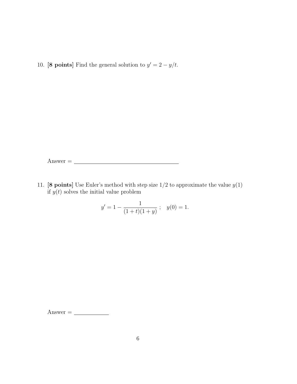10. [8 points] Find the general solution to  $y' = 2 - y/t$ .

 $\triangle$ nswer =  $\angle$ 

11. [8 points] Use Euler's method with step size  $1/2$  to approximate the value  $y(1)$ if  $y(t)$  solves the initial value problem

$$
y' = 1 - \frac{1}{(1+t)(1+y)};
$$
  $y(0) = 1.$ 

 $\mathbf{Answer} = \_$